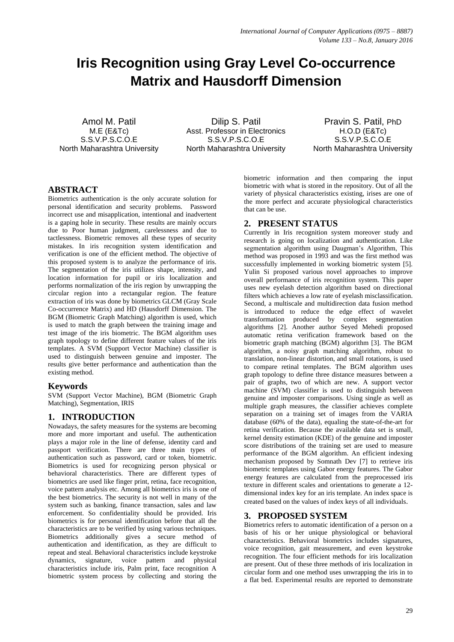# **Iris Recognition using Gray Level Co-occurrence Matrix and Hausdorff Dimension**

Amol M. Patil M.E (E&Tc) S.S.V.P.S.C.O.E North Maharashtra University

Dilip S. Patil Asst. Professor in Electronics S.S.V.P.S.C.O.F. North Maharashtra University

Pravin S. Patil, PhD H.O.D (E&Tc) S.S.V.P.S.C.O.E North Maharashtra University

# **ABSTRACT**

Biometrics authentication is the only accurate solution for personal identification and security problems. Password incorrect use and misapplication, intentional and inadvertent is a gaping hole in security. These results are mainly occurs due to Poor human judgment, carelessness and due to tactlessness. Biometric removes all these types of security mistakes. In iris recognition system identification and verification is one of the efficient method. The objective of this proposed system is to analyze the performance of iris. The segmentation of the iris utilizes shape, intensity, and location information for pupil or iris localization and performs normalization of the iris region by unwrapping the circular region into a rectangular region. The feature extraction of iris was done by biometrics GLCM (Gray Scale Co-occurrence Matrix) and HD (Hausdorff Dimension. The BGM (Biometric Graph Matching) algorithm is used, which is used to match the graph between the training image and test image of the iris biometric. The BGM algorithm uses graph topology to define different feature values of the iris templates. A SVM (Support Vector Machine) classifier is used to distinguish between genuine and imposter. The results give better performance and authentication than the existing method.

### **Keywords**

SVM (Support Vector Machine), BGM (Biometric Graph Matching), Segmentation, IRIS

# **1. INTRODUCTION**

Nowadays, the safety measures for the systems are becoming more and more important and useful. The authentication plays a major role in the line of defense, identity card and passport verification. There are three main types of authentication such as password, card or token, biometric. Biometrics is used for recognizing person physical or behavioral characteristics. There are different types of biometrics are used like finger print, retina, face recognition, voice pattern analysis etc. Among all biometrics iris is one of the best biometrics. The security is not well in many of the system such as banking, finance transaction, sales and law enforcement. So confidentiality should be provided. Iris biometrics is for personal identification before that all the characteristics are to be verified by using various techniques. Biometrics additionally gives a secure method of authentication and identification, as they are difficult to repeat and steal. Behavioral characteristics include keystroke dynamics, signature, voice pattern and physical characteristics include iris, Palm print, face recognition A biometric system process by collecting and storing the biometric information and then comparing the input biometric with what is stored in the repository. Out of all the variety of physical characteristics existing, irises are one of the more perfect and accurate physiological characteristics that can be use.

# **2. PRESENT STATUS**

Currently in Iris recognition system moreover study and research is going on localization and authentication. Like segmentation algorithm using Daugman's Algorithm, This method was proposed in 1993 and was the first method was successfully implemented in working biometric system [5]. Yulin Si proposed various novel approaches to improve overall performance of iris recognition system. This paper uses new eyelash detection algorithm based on directional filters which achieves a low rate of eyelash misclassification. Second, a multiscale and multidirection data fusion method is introduced to reduce the edge effect of wavelet transformation produced by complex segmentation algorithms [2]. Another author Seyed Mehedi proposed automatic retina verification framework based on the biometric graph matching (BGM) algorithm [3]. The BGM algorithm, a noisy graph matching algorithm, robust to translation, non-linear distortion, and small rotations, is used to compare retinal templates. The BGM algorithm uses graph topology to define three distance measures between a pair of graphs, two of which are new. A support vector machine (SVM) classifier is used to distinguish between genuine and imposter comparisons. Using single as well as multiple graph measures, the classifier achieves complete separation on a training set of images from the VARIA database (60% of the data), equaling the state-of-the-art for retina verification. Because the available data set is small, kernel density estimation (KDE) of the genuine and imposter score distributions of the training set are used to measure performance of the BGM algorithm. An efficient indexing mechanism proposed by Somnath Dev [7] to retrieve iris biometric templates using Gabor energy features. The Gabor energy features are calculated from the preprocessed iris texture in different scales and orientations to generate a 12 dimensional index key for an iris template. An index space is created based on the values of index keys of all individuals.

# **3. PROPOSED SYSTEM**

Biometrics refers to automatic identification of a person on a basis of his or her unique physiological or behavioral characteristics. Behavioral biometrics includes signatures, voice recognition, gait measurement, and even keystroke recognition. The four efficient methods for iris localization are present. Out of these three methods of iris localization in circular form and one method uses unwrapping the iris in to a flat bed. Experimental results are reported to demonstrate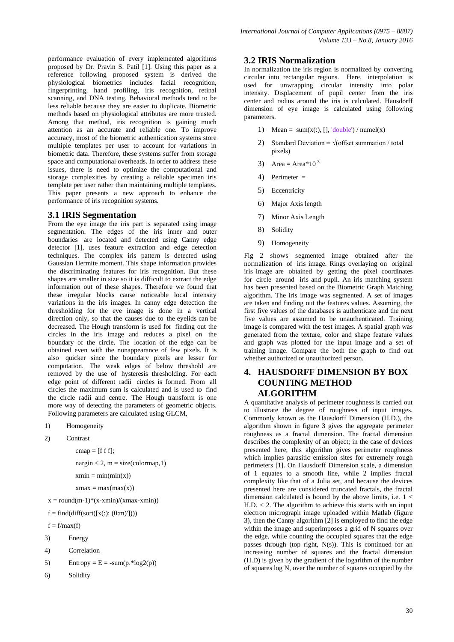performance evaluation of every implemented algorithms proposed by Dr. Pravin S. Patil [1]. Using this paper as a reference following proposed system is derived the physiological biometrics includes facial recognition, fingerprinting, hand profiling, iris recognition, retinal scanning, and DNA testing. Behavioral methods tend to be less reliable because they are easier to duplicate. Biometric methods based on physiological attributes are more trusted. Among that method, iris recognition is gaining much attention as an accurate and reliable one. To improve accuracy, most of the biometric authentication systems store multiple templates per user to account for variations in biometric data. Therefore, these systems suffer from storage space and computational overheads. In order to address these issues, there is need to optimize the computational and storage complexities by creating a reliable specimen iris template per user rather than maintaining multiple templates. This paper presents a new approach to enhance the performance of iris recognition systems.

#### **3.1 IRIS Segmentation**

From the eye image the iris part is separated using image segmentation. The edges of the iris inner and outer boundaries are located and detected using Canny edge detector [1], uses feature extraction and edge detection techniques. The complex iris pattern is detected using Gaussian Hermite moment. This shape information provides the discriminating features for iris recognition. But these shapes are smaller in size so it is difficult to extract the edge information out of these shapes. Therefore we found that these irregular blocks cause noticeable local intensity variations in the iris images. In canny edge detection the thresholding for the eye image is done in a vertical direction only, so that the causes due to the eyelids can be decreased. The Hough transform is used for finding out the circles in the iris image and reduces a pixel on the boundary of the circle. The location of the edge can be obtained even with the nonappearance of few pixels. It is also quicker since the boundary pixels are lesser for computation. The weak edges of below threshold are removed by the use of hysteresis thresholding. For each edge point of different radii circles is formed. From all circles the maximum sum is calculated and is used to find the circle radii and centre. The Hough transform is one more way of detecting the parameters of geometric objects. Following parameters are calculated using GLCM,

- 1) Homogeneity
- 2) Contrast

```
cmap = [f f];
```
 $nargin < 2$ ,  $m = size(colorma p, 1)$  $xmin = min(min(x))$ 

 $x$ max = max $(max(x))$ 

- $x = round(m-1)*(x-xmin)/(xmax-xmin)$
- $f = find(df(fsort([x(:, (0:m)'])))$

 $f = f/max(f)$ 

- 3) Energy
- 4) Correlation
- 5) Entropy =  $E = -sum(p.*log2(p))$
- 6) Solidity

#### **3.2 IRIS Normalization**

In normalization the iris region is normalized by converting circular into rectangular regions. Here, interpolation is used for unwrapping circular intensity into polar intensity. Displacement of pupil center from the iris center and radius around the iris is calculated. Hausdorff dimension of eye image is calculated using following parameters.

- 1) Mean =  $sum(x(:), []$ , 'double') / numel(x)
- 2) Standard Deviation =  $\sqrt{\text{offset} \text{ summation}} / \text{total}$ pixels)
- 3) Area = Area $*10^{-3}$
- 4) Perimeter =
- 5) Eccentricity
- 6) Major Axis length
- 7) Minor Axis Length
- 8) Solidity
- 9) Homogeneity

Fig 2 shows segmented image obtained after the normalization of iris image. Rings overlaying on original iris image are obtained by getting the pixel coordinates for circle around iris and pupil. An iris matching system has been presented based on the Biometric Graph Matching algorithm. The iris image was segmented. A set of images are taken and finding out the features values. Assuming, the first five values of the databases is authenticate and the next five values are assumed to be unauthenticated. Training image is compared with the test images. A spatial graph was generated from the texture, color and shape feature values and graph was plotted for the input image and a set of training image. Compare the both the graph to find out whether authorized or unauthorized person.

## **4. HAUSDORFF DIMENSION BY BOX COUNTING METHOD ALGORITHM**

A quantitative analysis of perimeter roughness is carried out to illustrate the degree of roughness of input images. Commonly known as the Hausdorff Dimension (H.D.), the algorithm shown in figure 3 gives the aggregate perimeter roughness as a fractal dimension. The fractal dimension describes the complexity of an object; in the case of devices presented here, this algorithm gives perimeter roughness which implies parasitic emission sites for extremely rough perimeters [1]. On Hausdorff Dimension scale, a dimension of 1 equates to a smooth line, while 2 implies fractal complexity like that of a Julia set, and because the devices presented here are considered truncated fractals, the fractal dimension calculated is bound by the above limits, i.e.  $1 <$  $H.D. < 2$ . The algorithm to achieve this starts with an input electron micrograph image uploaded within Matlab (figure 3), then the Canny algorithm [2] is employed to find the edge within the image and superimposes a grid of N squares over the edge, while counting the occupied squares that the edge passes through (top right, N(s)). This is continued for an increasing number of squares and the fractal dimension (H.D) is given by the gradient of the logarithm of the number of squares log N, over the number of squares occupied by the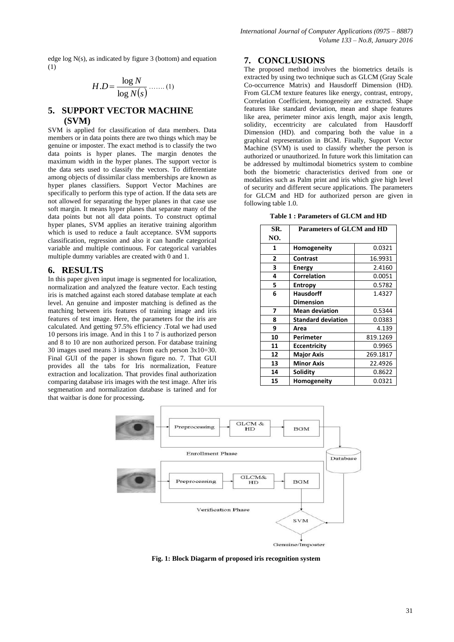edge log N(s), as indicated by figure 3 (bottom) and equation (1)

$$
H.D = \frac{\log N}{\log N(s)} \dots (1)
$$

# **5. SUPPORT VECTOR MACHINE (SVM)**

SVM is applied for classification of data members. Data members or in data points there are two things which may be genuine or imposter. The exact method is to classify the two data points is hyper planes. The margin denotes the maximum width in the hyper planes. The support vector is the data sets used to classify the vectors. To differentiate among objects of dissimilar class memberships are known as hyper planes classifiers. Support Vector Machines are specifically to perform this type of action. If the data sets are not allowed for separating the hyper planes in that case use soft margin. It means hyper planes that separate many of the data points but not all data points. To construct optimal hyper planes, SVM applies an iterative training algorithm which is used to reduce a fault acceptance. SVM supports classification, regression and also it can handle categorical variable and multiple continuous. For categorical variables multiple dummy variables are created with 0 and 1.

#### **6. RESULTS**

In this paper given input image is segmented for localization, normalization and analyzed the feature vector. Each testing iris is matched against each stored database template at each level. An genuine and imposter matching is defined as the matching between iris features of training image and iris features of test image. Here, the parameters for the iris are calculated. And getting 97.5% efficiency .Total we had used 10 persons iris image. And in this 1 to 7 is authorized person and 8 to 10 are non authorized person. For database training 30 images used means 3 images from each person 3x10=30. Final GUI of the paper is shown figure no. 7. That GUI provides all the tabs for Iris normalization, Feature extraction and localization. That provides final authorization comparing database iris images with the test image. After iris segmenation and normalization database is tarined and for that waitbar is done for processing**.**

## **7. CONCLUSIONS**

The proposed method involves the biometrics details is extracted by using two technique such as GLCM (Gray Scale Co-occurrence Matrix) and Hausdorff Dimension (HD). From GLCM texture features like energy, contrast, entropy, Correlation Coefficient, homogeneity are extracted. Shape features like standard deviation, mean and shape features like area, perimeter minor axis length, major axis length, solidity, eccentricity are calculated from Hausdorff Dimension (HD). and comparing both the value in a graphical representation in BGM. Finally, Support Vector Machine (SVM) is used to classify whether the person is authorized or unauthorized. In future work this limitation can be addressed by multimodal biometrics system to combine both the biometric characteristics derived from one or modalities such as Palm print and iris which give high level of security and different secure applications. The parameters for GLCM and HD for authorized person are given in following table 1.0.

|  |  | Table 1 : Parameters of GLCM and HD |  |  |  |  |  |
|--|--|-------------------------------------|--|--|--|--|--|
|--|--|-------------------------------------|--|--|--|--|--|

| SR. | <b>Parameters of GLCM and HD</b> |          |  |
|-----|----------------------------------|----------|--|
| NO. |                                  |          |  |
| 1   | Homogeneity                      | 0.0321   |  |
| 2   | <b>Contrast</b>                  | 16.9931  |  |
| 3   | <b>Energy</b>                    | 2.4160   |  |
| 4   | <b>Correlation</b>               | 0.0051   |  |
| 5   | <b>Entropy</b>                   | 0.5782   |  |
| 6   | <b>Hausdorff</b>                 | 1.4327   |  |
|     | <b>Dimension</b>                 |          |  |
| 7   | <b>Mean deviation</b>            | 0.5344   |  |
| 8   | <b>Standard deviation</b>        | 0.0383   |  |
| 9   | Area                             | 4.139    |  |
| 10  | Perimeter                        | 819.1269 |  |
| 11  | <b>Eccentricity</b>              | 0.9965   |  |
| 12  | <b>Major Axis</b>                | 269.1817 |  |
| 13  | <b>Minor Axis</b>                | 22.4926  |  |
| 14  | Solidity                         | 0.8622   |  |
| 15  | Homogeneity                      | 0.0321   |  |



**Fig. 1: Block Diagarm of proposed iris recognition system**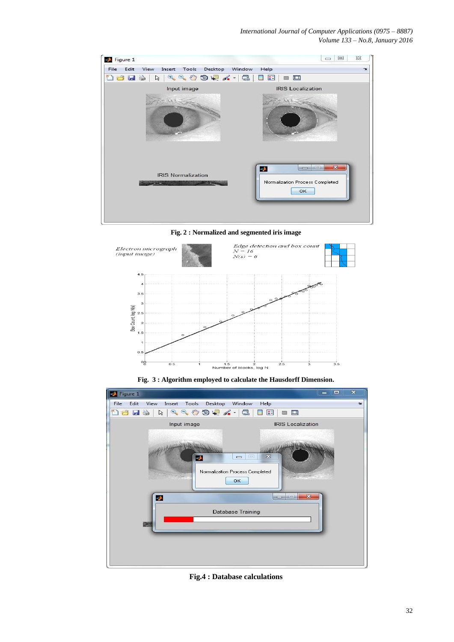

**Fig. 2 : Normalized and segmented iris image**



**Fig. 3 : Algorithm employed to calculate the Hausdorff Dimension.**



**Fig.4 : Database calculations**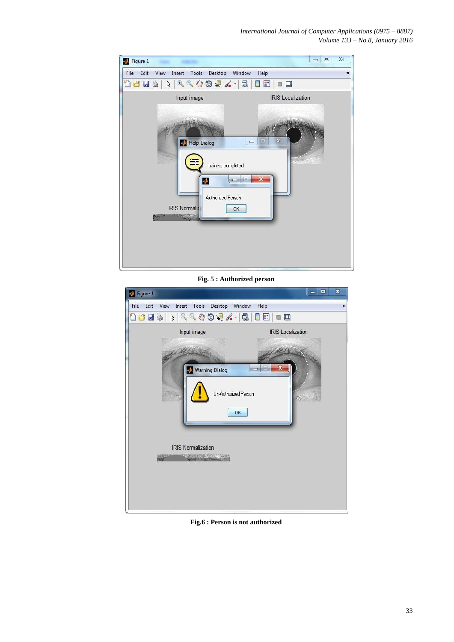| Figure 1    |                                     |                                                                                                    |                                   | 回<br>$\equiv$ | $\Sigma$     |
|-------------|-------------------------------------|----------------------------------------------------------------------------------------------------|-----------------------------------|---------------|--------------|
| File Edit   | View Insert Tools Desktop Window    |                                                                                                    | Help                              |               | $\mathbf{v}$ |
| <b>Dels</b> | rg                                  | $\begin{array}{c} \mathbb{R} \otimes \mathbb{R} \otimes \mathbb{R} \otimes \mathbb{R} \end{array}$ | E<br>$\blacksquare$<br>u          |               |              |
|             | Input image                         |                                                                                                    | <b>IRIS Localization</b>          |               |              |
|             | Help Dialog<br><b>IRIS Normaliz</b> | $\qquad \qquad \Box$<br>training completed<br>Ą<br>ō<br>Authorized Person<br>OK                    | $\mathbb{Z}$<br>巴<br>$\mathbf{x}$ |               |              |

**Fig. 5 : Authorized person**

| $\blacksquare$ Figure 1                                                                                                                   | $\boldsymbol{\mathsf{x}}$<br>□<br>٠ |
|-------------------------------------------------------------------------------------------------------------------------------------------|-------------------------------------|
| File<br>Edit<br>View Insert Tools<br>Desktop                                                                                              | Window<br>Help<br>$\mathbf{v}$      |
| $\begin{array}{c} \mathcal{A} & \mathcal{A} & \mathcal{A} \\ \mathcal{A} & \mathcal{A} & \mathcal{A} \end{array}$<br><b>Del</b><br>6<br>ß | ₽<br>$\Box$                         |
| Input image                                                                                                                               | <b>IRIS</b> Localization            |
| Warning Dialog<br>Un-Authorized Person<br>OK                                                                                              | x                                   |
| <b>IRIS Normalization</b><br><b>TRANSPORTATION AND RELEASE</b>                                                                            |                                     |

**Fig.6 : Person is not authorized**